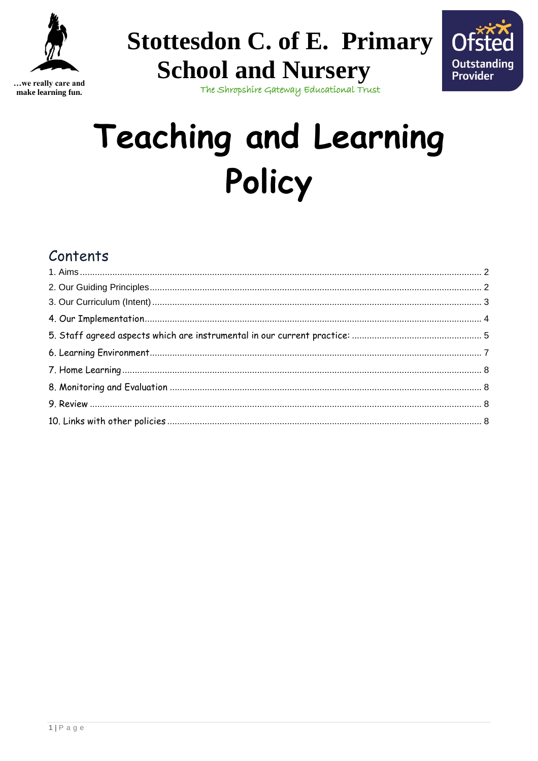



...we really care and make learning fun.

The Shropshire Gateway Educational Trust

**Stottesdon C. of E. Primary** 

**School and Nursery** 

# **Teaching and Learning** Policy

## Contents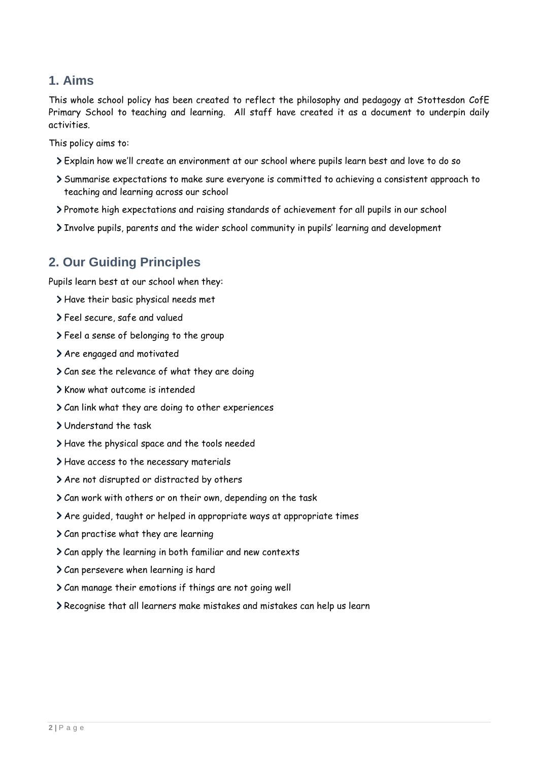#### <span id="page-1-0"></span>**1. Aims**

This whole school policy has been created to reflect the philosophy and pedagogy at Stottesdon CofE Primary School to teaching and learning. All staff have created it as a document to underpin daily activities.

This policy aims to:

- Explain how we'll create an environment at our school where pupils learn best and love to do so
- Summarise expectations to make sure everyone is committed to achieving a consistent approach to teaching and learning across our school
- Promote high expectations and raising standards of achievement for all pupils in our school
- Involve pupils, parents and the wider school community in pupils' learning and development

#### <span id="page-1-1"></span>**2. Our Guiding Principles**

Pupils learn best at our school when they:

- Have their basic physical needs met
- Feel secure, safe and valued
- Feel a sense of belonging to the group
- > Are engaged and motivated
- Can see the relevance of what they are doing
- > Know what outcome is intended
- Can link what they are doing to other experiences
- Understand the task
- Have the physical space and the tools needed
- Have access to the necessary materials
- Are not disrupted or distracted by others
- Can work with others or on their own, depending on the task
- Are guided, taught or helped in appropriate ways at appropriate times
- Can practise what they are learning
- Can apply the learning in both familiar and new contexts
- Can persevere when learning is hard
- Can manage their emotions if things are not going well
- Recognise that all learners make mistakes and mistakes can help us learn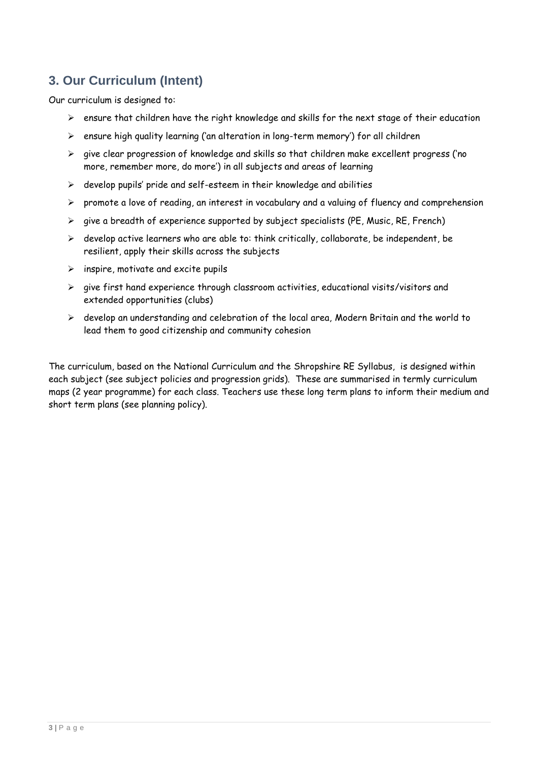## <span id="page-2-0"></span>**3. Our Curriculum (Intent)**

Our curriculum is designed to:

- $\triangleright$  ensure that children have the right knowledge and skills for the next stage of their education
- ➢ ensure high quality learning ('an alteration in long-term memory') for all children
- $\triangleright$  give clear progression of knowledge and skills so that children make excellent progress ('no more, remember more, do more') in all subjects and areas of learning
- ➢ develop pupils' pride and self-esteem in their knowledge and abilities
- ➢ promote a love of reading, an interest in vocabulary and a valuing of fluency and comprehension
- $\triangleright$  give a breadth of experience supported by subject specialists (PE, Music, RE, French)
- $\triangleright$  develop active learners who are able to: think critically, collaborate, be independent, be resilient, apply their skills across the subjects
- $\triangleright$  inspire, motivate and excite pupils
- $\triangleright$  give first hand experience through classroom activities, educational visits/visitors and extended opportunities (clubs)
- ➢ develop an understanding and celebration of the local area, Modern Britain and the world to lead them to good citizenship and community cohesion

The curriculum, based on the National Curriculum and the Shropshire RE Syllabus, is designed within each subject (see subject policies and progression grids). These are summarised in termly curriculum maps (2 year programme) for each class. Teachers use these long term plans to inform their medium and short term plans (see planning policy).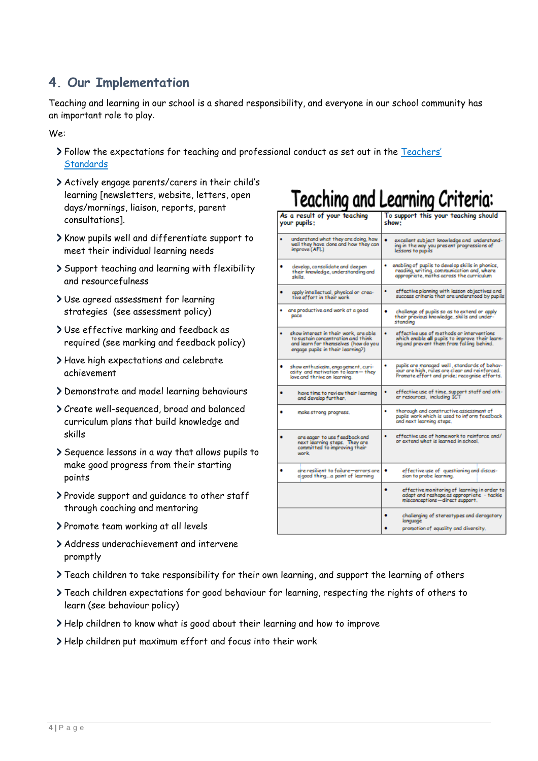## <span id="page-3-0"></span>**4. Our Implementation**

Teaching and learning in our school is a shared responsibility, and everyone in our school community has an important role to play.

We:

- Follow the expectations for teaching and professional conduct as set out in the [Teachers'](https://www.gov.uk/government/publications/teachers-standards)  **Standards**
- Actively engage parents/carers in their child's learning [newsletters, website, letters, open days/mornings, liaison, reports, parent consultations].
- Know pupils well and differentiate support to meet their individual learning needs
- Support teaching and learning with flexibility and resourcefulness
- Use agreed assessment for learning strategies (see assessment policy)
- Use effective marking and feedback as required (see marking and feedback policy)
- Have high expectations and celebrate achievement
- Demonstrate and model learning behaviours
- Create well-sequenced, broad and balanced curriculum plans that build knowledge and skills
- Sequence lessons in a way that allows pupils to make good progress from their starting points
- Provide support and guidance to other staff through coaching and mentoring
- > Promote team working at all levels
- Address underachievement and intervene promptly

## Teaching and Learning Criteria:

| your pupils; |                                                                                                                                                          | show:                                                                                                                                                |
|--------------|----------------------------------------------------------------------------------------------------------------------------------------------------------|------------------------------------------------------------------------------------------------------------------------------------------------------|
|              | understand what they are doing, how<br>well they have done and how they can<br>improve (AFL)                                                             | ٠<br>excellent subject knowledge and understand-<br>ing in the way you present progressions of<br>lessons to pupils                                  |
|              | develop, consolidate and deepen<br>their knowledge, understanding and<br>skills.                                                                         | enabling of pupils to develop skills in phonics.<br>٠<br>reading, writing, communication and, where<br>appropriate, maths across the curriculum      |
|              | apply intellectual, physical on crea-<br>tive effort in their work                                                                                       | effective planning with lesson objectives and<br>٠<br>success criteria that are understood by pupils                                                 |
|              | are productive and work at a good<br>pace                                                                                                                | ٠<br>challenge of pupils so as to extend or apply.<br>their previous knowledge, skills and under-<br>standing                                        |
|              | show interest in their work, are able<br>to sustain concentration and think<br>and learn for themselves (how do you<br>engage pupils in their learning?) | ٠<br>effective use of methods or interventions<br>which enable all pupils to improve their learn-<br>ing and prevent them from falling behind.       |
| ٠            | show enthusiasm, engagement, curi-<br>osity and motivation to learn-they<br>love and thrive on learning.                                                 | pupils are managed well , standards of behav-<br>٠<br>iour are high, rules are clear and reinforced.<br>Promote effort and pride; recognise efforts. |
|              | have time to neview their learning<br>and develop further.                                                                                               | ٠<br>effective use of time, support staff and oth-<br>er resources, including ICT                                                                    |
|              | make strong progress.                                                                                                                                    | thorough and constructive assessment of<br>٠<br>pupils work which is used to inform feedback<br>and next learning steps.                             |
|              | are eager to use feedback and<br>next learning steps. They are<br>committed to improving their<br>work.                                                  | effective use of homework to reinforce and/<br>٠<br>or extend what is learned in school.                                                             |
|              | are resilient to failure—errors are<br>algood thinga point of learning                                                                                   | effective use of questioning and discus-<br>٠<br>sion to probe learning.                                                                             |
|              |                                                                                                                                                          | effective monitoring of learning in order to<br>٠<br>adapt and reshape as appropriate - tackle<br>misconceptions-direct support.                     |
|              |                                                                                                                                                          | ۰<br>challenging of stereotypes and derogatory<br>language<br>promotion of equality and diversity.                                                   |

- Teach children to take responsibility for their own learning, and support the learning of others
- Teach children expectations for good behaviour for learning, respecting the rights of others to learn (see behaviour policy)
- Help children to know what is good about their learning and how to improve
- Help children put maximum effort and focus into their work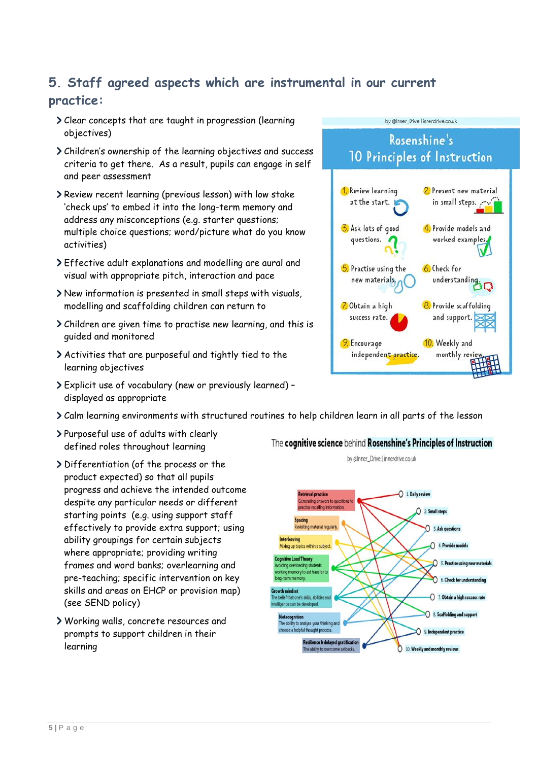## <span id="page-4-0"></span>**5. Staff agreed aspects which are instrumental in our current practice:**

- Clear concepts that are taught in progression (learning objectives)
- Children's ownership of the learning objectives and success criteria to get there. As a result, pupils can engage in self and peer assessment
- Review recent learning (previous lesson) with low stake 'check ups' to embed it into the long-term memory and address any misconceptions (e.g. starter questions; multiple choice questions; word/picture what do you know activities)
- Effective adult explanations and modelling are aural and visual with appropriate pitch, interaction and pace
- New information is presented in small steps with visuals, modelling and scaffolding children can return to
- Children are given time to practise new learning, and this is guided and monitored
- Activities that are purposeful and tightly tied to the learning objectives
- Explicit use of vocabulary (new or previously learned) displayed as appropriate
- Calm learning environments with structured routines to help children learn in all parts of the lesson
- Purposeful use of adults with clearly defined roles throughout learning
- Differentiation (of the process or the product expected) so that all pupils progress and achieve the intended outcome despite any particular needs or different starting points (e.g. using support staff effectively to provide extra support; using ability groupings for certain subjects where appropriate; providing writing frames and word banks; overlearning and pre-teaching; specific intervention on key skills and areas on EHCP or provision map) (see SEND policy)
- Working walls, concrete resources and prompts to support children in their learning



by @Inner\_Drive | innerdrive.co.uk





by @Inner\_Drive | innerdrive.co.uk

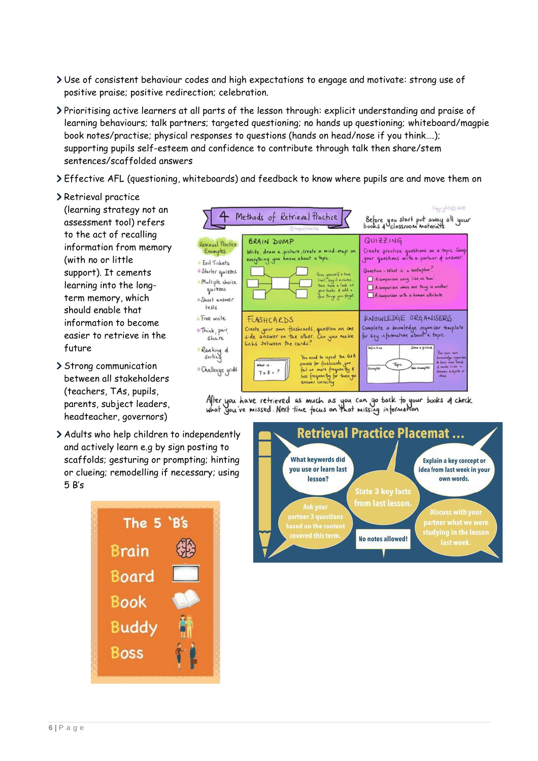- Use of consistent behaviour codes and high expectations to engage and motivate: strong use of positive praise; positive redirection; celebration.
- Prioritising active learners at all parts of the lesson through: explicit understanding and praise of learning behaviours; talk partners; targeted questioning; no hands up questioning; whiteboard/magpie book notes/practise; physical responses to questions (hands on head/nose if you think….); supporting pupils self-esteem and confidence to contribute through talk then share/stem sentences/scaffolded answers
- Effective AFL (questioning, whiteboards) and feedback to know where pupils are and move them on
- > Retrieval practice

(learning strategy not an assessment tool) refers to the act of recalling information from memory (with no or little support). It cements learning into the longterm memory, which should enable that information to become easier to retrieve in the future

- > Strong communication between all stakeholders (teachers, TAs, pupils, parents, subject leaders, headteacher, governors)
- Adults who help children to independently and actively learn e.g by sign posting to scaffolds; gesturing or prompting; hinting or clueing; remodelling if necessary; using 5 B's





After you have retrieved as much as you can go back to your books of check<br>what you've missed. Next time focus on that missing information

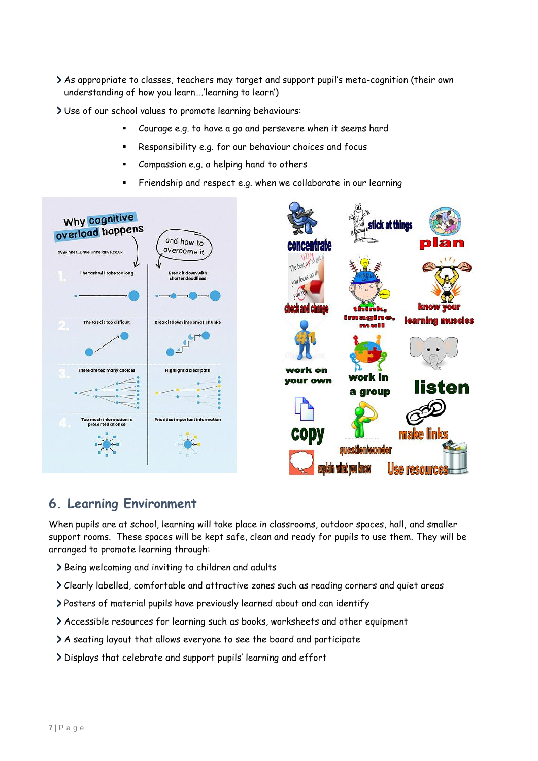- As appropriate to classes, teachers may target and support pupil's meta-cognition (their own understanding of how you learn….'learning to learn')
- Use of our school values to promote learning behaviours:
	- Courage e.g. to have a go and persevere when it seems hard
	- Responsibility e.g. for our behaviour choices and focus
	- Compassion e.g. a helping hand to others
	- Friendship and respect e.g. when we collaborate in our learning



### <span id="page-6-0"></span>**6. Learning Environment**

When pupils are at school, learning will take place in classrooms, outdoor spaces, hall, and smaller support rooms. These spaces will be kept safe, clean and ready for pupils to use them. They will be arranged to promote learning through:

- > Being welcoming and inviting to children and adults
- Clearly labelled, comfortable and attractive zones such as reading corners and quiet areas
- Posters of material pupils have previously learned about and can identify
- Accessible resources for learning such as books, worksheets and other equipment
- A seating layout that allows everyone to see the board and participate
- Displays that celebrate and support pupils' learning and effort